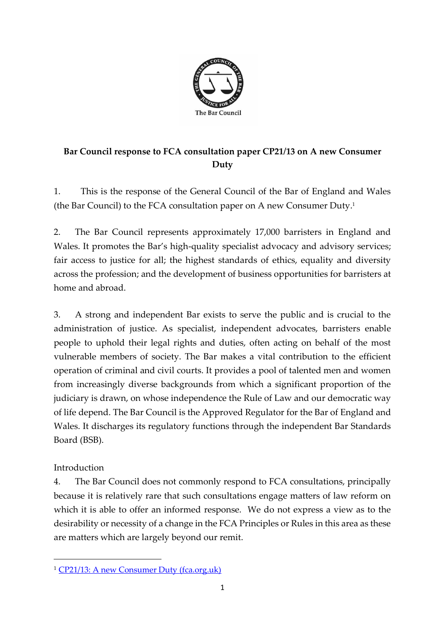

## **Bar Council response to FCA consultation paper CP21/13 on A new Consumer Duty**

1. This is the response of the General Council of the Bar of England and Wales (the Bar Council) to the FCA consultation paper on A new Consumer Duty. 1

2. The Bar Council represents approximately 17,000 barristers in England and Wales. It promotes the Bar's high-quality specialist advocacy and advisory services; fair access to justice for all; the highest standards of ethics, equality and diversity across the profession; and the development of business opportunities for barristers at home and abroad.

3. A strong and independent Bar exists to serve the public and is crucial to the administration of justice. As specialist, independent advocates, barristers enable people to uphold their legal rights and duties, often acting on behalf of the most vulnerable members of society. The Bar makes a vital contribution to the efficient operation of criminal and civil courts. It provides a pool of talented men and women from increasingly diverse backgrounds from which a significant proportion of the judiciary is drawn, on whose independence the Rule of Law and our democratic way of life depend. The Bar Council is the Approved Regulator for the Bar of England and Wales. It discharges its regulatory functions through the independent Bar Standards Board (BSB).

## Introduction

4. The Bar Council does not commonly respond to FCA consultations, principally because it is relatively rare that such consultations engage matters of law reform on which it is able to offer an informed response. We do not express a view as to the desirability or necessity of a change in the FCA Principles or Rules in this area as these are matters which are largely beyond our remit.

<sup>1</sup> [CP21/13: A new Consumer Duty \(fca.org.uk\)](https://www.fca.org.uk/publication/consultation/cp21-13.pdf)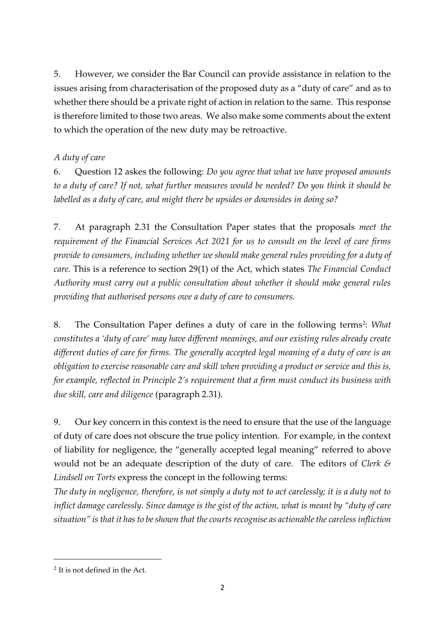5. However, we consider the Bar Council can provide assistance in relation to the issues arising from characterisation of the proposed duty as a "duty of care" and as to whether there should be a private right of action in relation to the same. This response is therefore limited to those two areas. We also make some comments about the extent to which the operation of the new duty may be retroactive.

## *A duty of care*

6. Question 12 askes the following: *Do you agree that what we have proposed amounts to a duty of care? If not, what further measures would be needed? Do you think it should be labelled as a duty of care, and might there be upsides or downsides in doing so?*

7. At paragraph 2.31 the Consultation Paper states that the proposals *meet the requirement of the Financial Services Act 2021 for us to consult on the level of care firms provide to consumers, including whether we should make general rules providing for a duty of care.* This is a reference to section 29(1) of the Act, which states *The Financial Conduct Authority must carry out a public consultation about whether it should make general rules providing that authorised persons owe a duty of care to consumers.* 

8. The Consultation Paper defines a duty of care in the following terms<sup>2</sup>: *What constitutes a 'duty of care' may have different meanings, and our existing rules already create different duties of care for firms. The generally accepted legal meaning of a duty of care is an obligation to exercise reasonable care and skill when providing a product or service and this is, for example, reflected in Principle 2's requirement that a firm must conduct its business with due skill, care and diligence* (paragraph 2.31).

9. Our key concern in this context is the need to ensure that the use of the language of duty of care does not obscure the true policy intention. For example, in the context of liability for negligence, the "generally accepted legal meaning" referred to above would not be an adequate description of the duty of care. The editors of *Clerk & Lindsell on Torts* express the concept in the following terms:

*The duty in negligence, therefore, is not simply a duty not to act carelessly; it is a duty not to inflict damage carelessly. Since damage is the gist of the action, what is meant by "duty of care situation" is that it has to be shown that the courts recognise as actionable the careless infliction* 

<sup>&</sup>lt;sup>2</sup> It is not defined in the Act.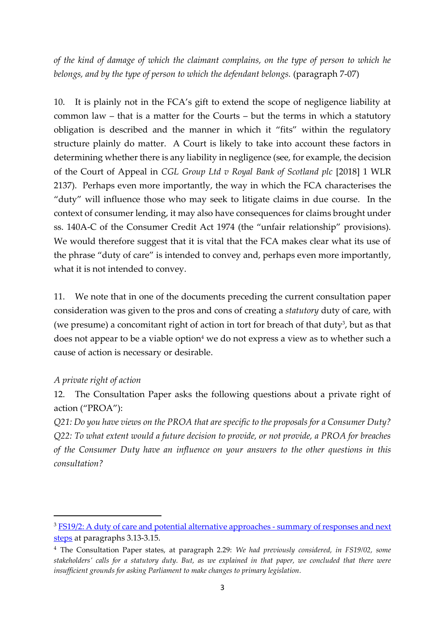*of the kind of damage of which the claimant complains, on the type of person to which he belongs, and by the type of person to which the defendant belongs.* (paragraph 7-07)

10. It is plainly not in the FCA's gift to extend the scope of negligence liability at common law – that is a matter for the Courts – but the terms in which a statutory obligation is described and the manner in which it "fits" within the regulatory structure plainly do matter. A Court is likely to take into account these factors in determining whether there is any liability in negligence (see, for example, the decision of the Court of Appeal in *CGL Group Ltd v Royal Bank of Scotland plc* [2018] 1 WLR 2137). Perhaps even more importantly, the way in which the FCA characterises the "duty" will influence those who may seek to litigate claims in due course. In the context of consumer lending, it may also have consequences for claims brought under ss. 140A-C of the Consumer Credit Act 1974 (the "unfair relationship" provisions). We would therefore suggest that it is vital that the FCA makes clear what its use of the phrase "duty of care" is intended to convey and, perhaps even more importantly, what it is not intended to convey.

11. We note that in one of the documents preceding the current consultation paper consideration was given to the pros and cons of creating a *statutory* duty of care, with (we presume) a concomitant right of action in tort for breach of that duty<sup>3</sup>, but as that does not appear to be a viable option<sup>4</sup> we do not express a view as to whether such a cause of action is necessary or desirable.

## *A private right of action*

12. The Consultation Paper asks the following questions about a private right of action ("PROA"):

*Q21: Do you have views on the PROA that are specific to the proposals for a Consumer Duty? Q22: To what extent would a future decision to provide, or not provide, a PROA for breaches of the Consumer Duty have an influence on your answers to the other questions in this consultation?*

<sup>&</sup>lt;sup>3</sup> [FS19/2: A duty of care and potential alternative approaches -](https://www.fca.org.uk/publication/feedback/fs19-02.pdf) summary of responses and next [steps](https://www.fca.org.uk/publication/feedback/fs19-02.pdf) at paragraphs 3.13-3.15.

<sup>4</sup> The Consultation Paper states, at paragraph 2.29: *We had previously considered, in FS19/02, some stakeholders' calls for a statutory duty. But, as we explained in that paper, we concluded that there were insufficient grounds for asking Parliament to make changes to primary legislation.*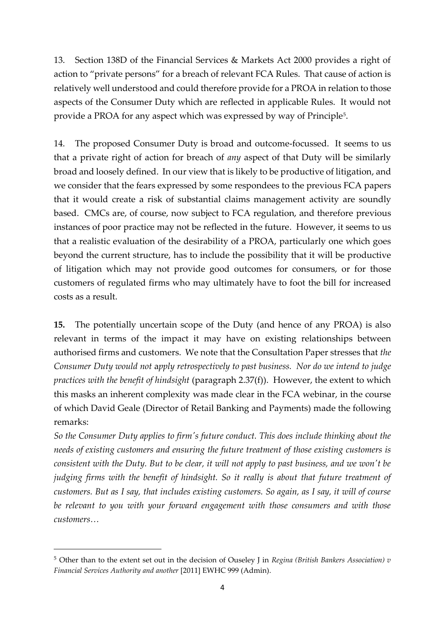13. Section 138D of the Financial Services & Markets Act 2000 provides a right of action to "private persons" for a breach of relevant FCA Rules. That cause of action is relatively well understood and could therefore provide for a PROA in relation to those aspects of the Consumer Duty which are reflected in applicable Rules. It would not provide a PROA for any aspect which was expressed by way of Principle<sup>5</sup>.

14. The proposed Consumer Duty is broad and outcome-focussed. It seems to us that a private right of action for breach of *any* aspect of that Duty will be similarly broad and loosely defined. In our view that is likely to be productive of litigation, and we consider that the fears expressed by some respondees to the previous FCA papers that it would create a risk of substantial claims management activity are soundly based. CMCs are, of course, now subject to FCA regulation, and therefore previous instances of poor practice may not be reflected in the future. However, it seems to us that a realistic evaluation of the desirability of a PROA, particularly one which goes beyond the current structure, has to include the possibility that it will be productive of litigation which may not provide good outcomes for consumers, or for those customers of regulated firms who may ultimately have to foot the bill for increased costs as a result.

**15.** The potentially uncertain scope of the Duty (and hence of any PROA) is also relevant in terms of the impact it may have on existing relationships between authorised firms and customers. We note that the Consultation Paper stresses that *the Consumer Duty would not* a*pply retrospectively to past business. Nor do we intend to judge practices with the benefit of hindsight* (paragraph 2.37(f)). However, the extent to which this masks an inherent complexity was made clear in the FCA webinar, in the course of which David Geale (Director of Retail Banking and Payments) made the following remarks:

*So the Consumer Duty applies to firm's future conduct. This does include thinking about the needs of existing customers and ensuring the future treatment of those existing customers is consistent with the Duty. But to be clear, it will not apply to past business, and we won't be judging firms with the benefit of hindsight. So it really is about that future treatment of customers. But as I say, that includes existing customers. So again, as I say, it will of course be relevant to you with your forward engagement with those consumers and with those customers…*

<sup>5</sup> Other than to the extent set out in the decision of Ouseley J in *Regina (British Bankers Association) v Financial Services Authority and another* [2011] EWHC 999 (Admin).